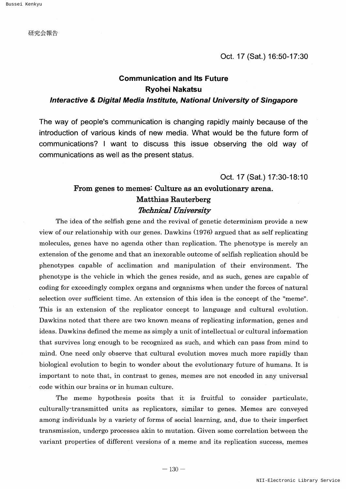研究会報告

## **Communication and Its Future** Ryohei Nakatsu

## Interactive & Digital Media Institute, National University of Singapore

The way of people's communication is changing rapidly mainly because of the introduction of various kinds of new media. What would be the future form of communications? 1 want to discuss this issue observing the old way of communications as well as the present status.

Oct. 17 (Sat.) 17:30-18:10

## From genes to memes: Culture as an evolutionary arena. Matthias Rauterberg **Technical University**

The idea of the selfish gene and the revival of genetic determinism provide <sup>a</sup> new view of our relationship with our genes. Dawkins  $(1976)$  argued that as self replicating molecules, genes have no agenda other than replication. The phenotype is merely an extension of the genome and that an inexorable outcome of selfish replication should be phenotypes capable of acclimation and manipulation of their environment. The phenotype isthe vehicle in which the genes reside, and as sueh, genes are capable of coding for exceedingly complex organs and organisms when under the forces of natural selection over sufficient time. An extension of this idea is the concept of the "meme". This is an extension of the replicator concept to language and cultural evolution. Dawkins noted that there are two known means of replicating information, genes and ideas. Dawkins defined the meme as simply a unit of intellectual or cultural information that survives long enough to be recognized as such, and which can pass from mind to mind. One need only observe that cultural evolution moves much more rapidly than biological evolution to begin to wonder about the evolutionary future of humans. It is important to note that, in contrast to genes, memes are not encoded in any universal code within our brains or in human culture.

The meme hypothesis posits that it is fruitful to consider particulate, culturally'transmitted units as replicators, similar to genes. Memes are conveyed among individuals by a variety of forms of social learning, and, due to their imperfect transmission, undergo processes akin to mutation, Given some correlation between the variant properties of different versions of a meme and its replication success, memes